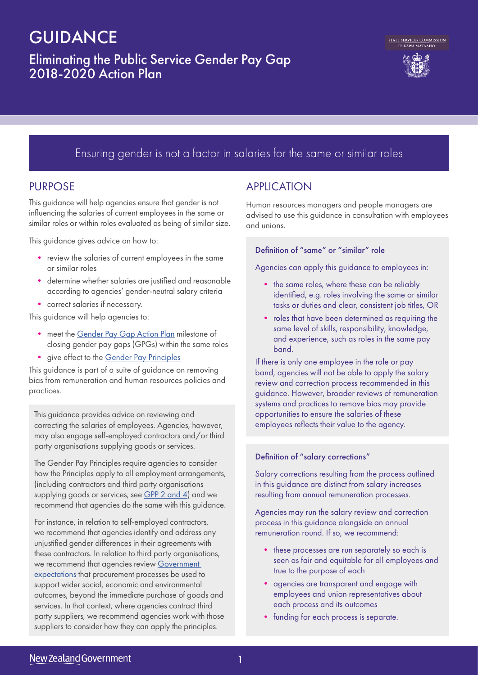# **GUIDANCE**

# Eliminating the Public Service Gender Pay Gap 2018-2020 Action Plan





# Ensuring gender is not a factor in salaries for the same or similar roles

### PURPOSE

This guidance will help agencies ensure that gender is not influencing the salaries of current employees in the same or similar roles or within roles evaluated as being of similar size.

This guidance gives advice on how to:

- review the salaries of current employees in the same or similar roles
- determine whether salaries are justified and reasonable according to agencies' gender-neutral salary criteria
- correct salaries if necessary.

This guidance will help agencies to:

- meet the Gender Pay Gap Action Plan milestone of closing gender pay gaps (GPGs) within the same roles
- give effect to the Gender Pay Principles

This guidance is part of a suite of guidance on removing bias from remuneration and human resources policies and practices.

This guidance provides advice on reviewing and correcting the salaries of employees. Agencies, however, may also engage self-employed contractors and/or third party organisations supplying goods or services.

The Gender Pay Principles require agencies to consider how the Principles apply to all employment arrangements, (including contractors and third party organisations supplying goods or services, see GPP 2 and 4) and we recommend that agencies do the same with this guidance.

For instance, in relation to self-employed contractors, we recommend that agencies identify and address any unjustified gender differences in their agreements with these contractors. In relation to third party organisations, we recommend that agencies review Government expectations that procurement processes be used to support wider social, economic and environmental outcomes, beyond the immediate purchase of goods and services. In that context, where agencies contract third party suppliers, we recommend agencies work with those suppliers to consider how they can apply the principles.

# **APPLICATION**

Human resources managers and people managers are advised to use this guidance in consultation with employees and unions.

### Definition of "same" or "similar" role

Agencies can apply this guidance to employees in:

- the same roles, where these can be reliably identified, e.g. roles involving the same or similar tasks or duties and clear, consistent job titles, OR
- roles that have been determined as requiring the same level of skills, responsibility, knowledge, and experience, such as roles in the same pay band.

If there is only one employee in the role or pay band, agencies will not be able to apply the salary review and correction process recommended in this guidance. However, broader reviews of remuneration systems and practices to remove bias may provide opportunities to ensure the salaries of these employees reflects their value to the agency.

### Definition of "salary corrections"

Salary corrections resulting from the process outlined in this guidance are distinct from salary increases resulting from annual remuneration processes.

Agencies may run the salary review and correction process in this guidance alongside an annual remuneration round. If so, we recommend:

- these processes are run separately so each is seen as fair and equitable for all employees and true to the purpose of each
- agencies are transparent and engage with employees and union representatives about each process and its outcomes
- funding for each process is separate.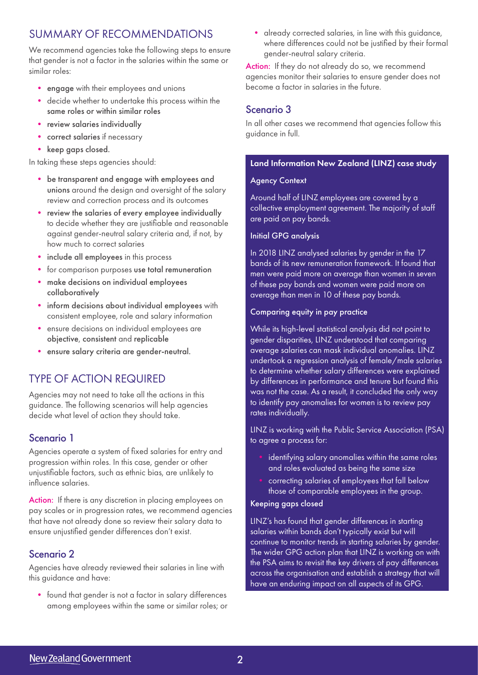### SUMMARY OF RECOMMENDATIONS

We recommend agencies take the following steps to ensure that gender is not a factor in the salaries within the same or similar roles:

- engage with their employees and unions
- decide whether to undertake this process within the same roles or within similar roles
- review salaries individually
- correct salaries if necessary
- keep gaps closed.

In taking these steps agencies should:

- be transparent and engage with employees and unions around the design and oversight of the salary review and correction process and its outcomes
- review the salaries of every employee individually to decide whether they are justifiable and reasonable against gender-neutral salary criteria and, if not, by how much to correct salaries
- include all employees in this process
- for comparison purposes use total remuneration
- make decisions on individual employees collaboratively
- inform decisions about individual employees with consistent employee, role and salary information
- ensure decisions on individual employees are objective, consistent and replicable
- ensure salary criteria are gender-neutral.

### TYPE OF ACTION REQUIRED

Agencies may not need to take all the actions in this guidance. The following scenarios will help agencies decide what level of action they should take.

### Scenario 1

Agencies operate a system of fixed salaries for entry and progression within roles. In this case, gender or other unjustifiable factors, such as ethnic bias, are unlikely to influence salaries.

Action: If there is any discretion in placing employees on pay scales or in progression rates, we recommend agencies that have not already done so review their salary data to ensure unjustified gender differences don't exist.

### Scenario 2

Agencies have already reviewed their salaries in line with this guidance and have:

• found that gender is not a factor in salary differences among employees within the same or similar roles; or • already corrected salaries, in line with this guidance, where differences could not be justified by their formal gender-neutral salary criteria.

Action: If they do not already do so, we recommend agencies monitor their salaries to ensure gender does not become a factor in salaries in the future.

### Scenario 3

In all other cases we recommend that agencies follow this guidance in full.

### Land Information New Zealand (LINZ) case study

#### Agency Context

Around half of LINZ employees are covered by a collective employment agreement. The majority of staff are paid on pay bands.

#### Initial GPG analysis

In 2018 LINZ analysed salaries by gender in the 17 bands of its new remuneration framework. It found that men were paid more on average than women in seven of these pay bands and women were paid more on average than men in 10 of these pay bands.

#### Comparing equity in pay practice

While its high-level statistical analysis did not point to gender disparities, LINZ understood that comparing average salaries can mask individual anomalies. LINZ undertook a regression analysis of female/male salaries to determine whether salary differences were explained by differences in performance and tenure but found this was not the case. As a result, it concluded the only way to identify pay anomalies for women is to review pay rates individually.

LINZ is working with the Public Service Association (PSA) to agree a process for:

- identifying salary anomalies within the same roles and roles evaluated as being the same size
- correcting salaries of employees that fall below those of comparable employees in the group.

### Keeping gaps closed

LINZ's has found that gender differences in starting salaries within bands don't typically exist but will continue to monitor trends in starting salaries by gender. The wider GPG action plan that LINZ is working on with the PSA aims to revisit the key drivers of pay differences across the organisation and establish a strategy that will have an enduring impact on all aspects of its GPG.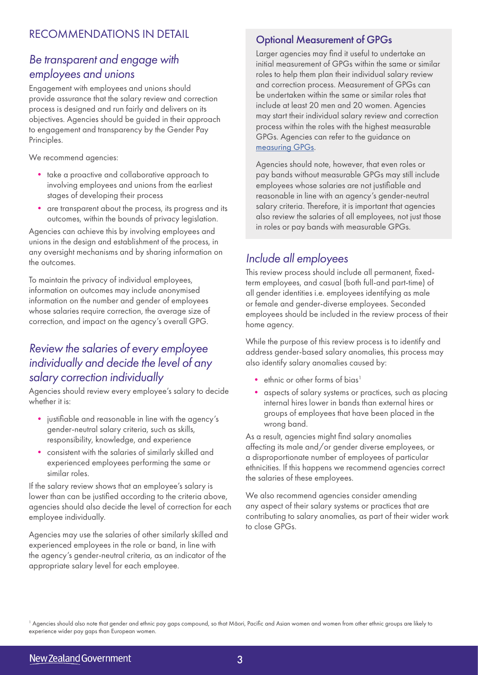# *Be transparent and engage with employees and unions*

Engagement with employees and unions should provide assurance that the salary review and correction process is designed and run fairly and delivers on its objectives. Agencies should be guided in their approach to engagement and transparency by the Gender Pay Principles.

We recommend agencies:

- take a proactive and collaborative approach to involving employees and unions from the earliest stages of developing their process
- are transparent about the process, its progress and its outcomes, within the bounds of privacy legislation.

Agencies can achieve this by involving employees and unions in the design and establishment of the process, in any oversight mechanisms and by sharing information on the outcomes.

To maintain the privacy of individual employees, information on outcomes may include anonymised information on the number and gender of employees whose salaries require correction, the average size of correction, and impact on the agency's overall GPG.

# *Review the salaries of every employee individually and decide the level of any salary correction individually*

Agencies should review every employee's salary to decide whether it is:

- justifiable and reasonable in line with the agency's gender-neutral salary criteria, such as skills, responsibility, knowledge, and experience
- consistent with the salaries of similarly skilled and experienced employees performing the same or similar roles.

If the salary review shows that an employee's salary is lower than can be justified according to the criteria above, agencies should also decide the level of correction for each employee individually.

Agencies may use the salaries of other similarly skilled and experienced employees in the role or band, in line with the agency's gender-neutral criteria, as an indicator of the appropriate salary level for each employee.

### Optional Measurement of GPGs

Larger agencies may find it useful to undertake an initial measurement of GPGs within the same or similar roles to help them plan their individual salary review and correction process. Measurement of GPGs can be undertaken within the same or similar roles that include at least 20 men and 20 women. Agencies may start their individual salary review and correction process within the roles with the highest measurable GPGs. Agencies can refer to the guidance on measuring GPGs.

Agencies should note, however, that even roles or pay bands without measurable GPGs may still include employees whose salaries are not justifiable and reasonable in line with an agency's gender-neutral salary criteria. Therefore, it is important that agencies also review the salaries of all employees, not just those in roles or pay bands with measurable GPGs.

# *Include all employees*

This review process should include all permanent, fixedterm employees, and casual (both full-and part-time) of all gender identities i.e. employees identifying as male or female and gender-diverse employees. Seconded employees should be included in the review process of their home agency.

While the purpose of this review process is to identify and address gender-based salary anomalies, this process may also identify salary anomalies caused by:

- ethnic or other forms of bias<sup>1</sup>
- aspects of salary systems or practices, such as placing internal hires lower in bands than external hires or groups of employees that have been placed in the wrong band.

As a result, agencies might find salary anomalies affecting its male and/or gender diverse employees, or a disproportionate number of employees of particular ethnicities. If this happens we recommend agencies correct the salaries of these employees.

We also recommend agencies consider amending any aspect of their salary systems or practices that are contributing to salary anomalies, as part of their wider work to close GPGs.

<sup>1</sup> Agencies should also note that gender and ethnic pay gaps compound, so that Māori, Pacific and Asian women and women from other ethnic groups are likely to experience wider pay gaps than European women.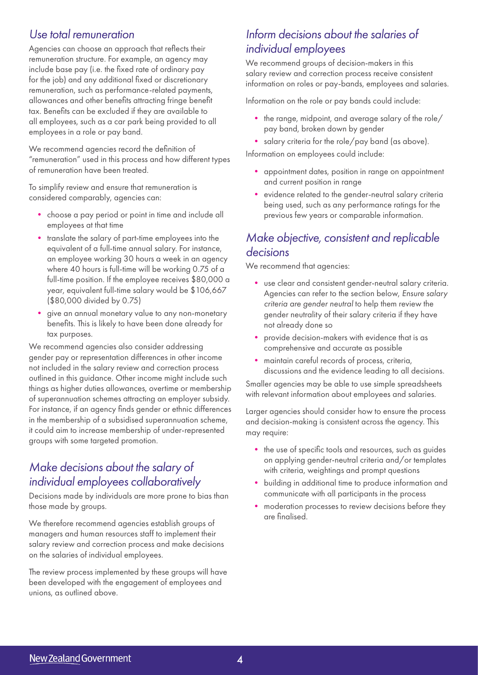### *Use total remuneration*

Agencies can choose an approach that reflects their remuneration structure. For example, an agency may include base pay (i.e. the fixed rate of ordinary pay for the job) and any additional fixed or discretionary remuneration, such as performance-related payments, allowances and other benefits attracting fringe benefit tax. Benefits can be excluded if they are available to all employees, such as a car park being provided to all employees in a role or pay band.

We recommend agencies record the definition of "remuneration" used in this process and how different types of remuneration have been treated.

To simplify review and ensure that remuneration is considered comparably, agencies can:

- choose a pay period or point in time and include all employees at that time
- translate the salary of part-time employees into the equivalent of a full-time annual salary. For instance, an employee working 30 hours a week in an agency where 40 hours is full-time will be working 0.75 of a full-time position. If the employee receives \$80,000 a year, equivalent full-time salary would be \$106,667 (\$80,000 divided by 0.75)
- give an annual monetary value to any non-monetary benefits. This is likely to have been done already for tax purposes.

We recommend agencies also consider addressing gender pay or representation differences in other income not included in the salary review and correction process outlined in this guidance. Other income might include such things as higher duties allowances, overtime or membership of superannuation schemes attracting an employer subsidy. For instance, if an agency finds gender or ethnic differences in the membership of a subsidised superannuation scheme, it could aim to increase membership of under-represented groups with some targeted promotion.

# *Make decisions about the salary of individual employees collaboratively*

Decisions made by individuals are more prone to bias than those made by groups.

We therefore recommend agencies establish groups of managers and human resources staff to implement their salary review and correction process and make decisions on the salaries of individual employees.

The review process implemented by these groups will have been developed with the engagement of employees and unions, as outlined above.

# *Inform decisions about the salaries of individual employees*

We recommend groups of decision-makers in this salary review and correction process receive consistent information on roles or pay-bands, employees and salaries.

Information on the role or pay bands could include:

- the range, midpoint, and average salary of the role/ pay band, broken down by gender
- salary criteria for the role/pay band (as above).

Information on employees could include:

- appointment dates, position in range on appointment and current position in range
- evidence related to the gender-neutral salary criteria being used, such as any performance ratings for the previous few years or comparable information.

# *Make objective, consistent and replicable decisions*

We recommend that agencies:

- use clear and consistent gender-neutral salary criteria. Agencies can refer to the section below, *Ensure salary criteria are gender neutral* to help them review the gender neutrality of their salary criteria if they have not already done so
- provide decision-makers with evidence that is as comprehensive and accurate as possible
- maintain careful records of process, criteria, discussions and the evidence leading to all decisions.

Smaller agencies may be able to use simple spreadsheets with relevant information about employees and salaries.

Larger agencies should consider how to ensure the process and decision-making is consistent across the agency. This may require:

- the use of specific tools and resources, such as guides on applying gender-neutral criteria and/or templates with criteria, weightings and prompt questions
- building in additional time to produce information and communicate with all participants in the process
- moderation processes to review decisions before they are finalised.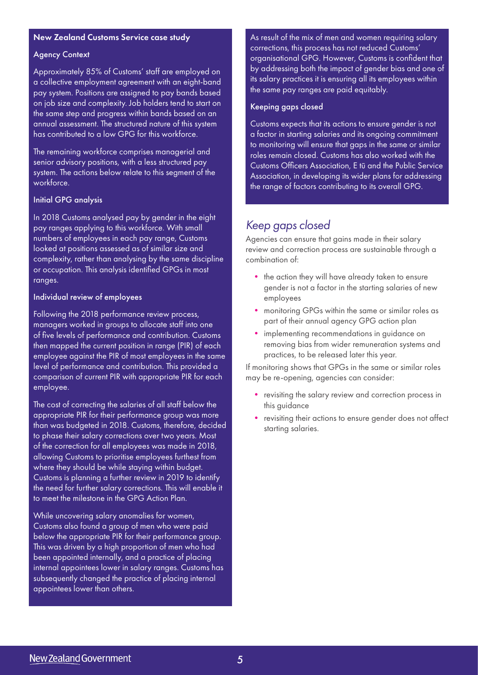#### New Zealand Customs Service case study

#### Agency Context

Approximately 85% of Customs' staff are employed on a collective employment agreement with an eight-band pay system. Positions are assigned to pay bands based on job size and complexity. Job holders tend to start on the same step and progress within bands based on an annual assessment. The structured nature of this system has contributed to a low GPG for this workforce.

The remaining workforce comprises managerial and senior advisory positions, with a less structured pay system. The actions below relate to this segment of the workforce.

#### Initial GPG analysis

In 2018 Customs analysed pay by gender in the eight pay ranges applying to this workforce. With small numbers of employees in each pay range, Customs looked at positions assessed as of similar size and complexity, rather than analysing by the same discipline or occupation. This analysis identified GPGs in most ranges.

#### Individual review of employees

Following the 2018 performance review process, managers worked in groups to allocate staff into one of five levels of performance and contribution. Customs then mapped the current position in range (PIR) of each employee against the PIR of most employees in the same level of performance and contribution. This provided a comparison of current PIR with appropriate PIR for each employee.

The cost of correcting the salaries of all staff below the appropriate PIR for their performance group was more than was budgeted in 2018. Customs, therefore, decided to phase their salary corrections over two years. Most of the correction for all employees was made in 2018, allowing Customs to prioritise employees furthest from where they should be while staying within budget. Customs is planning a further review in 2019 to identify the need for further salary corrections. This will enable it to meet the milestone in the GPG Action Plan.

While uncovering salary anomalies for women, Customs also found a group of men who were paid below the appropriate PIR for their performance group. This was driven by a high proportion of men who had been appointed internally, and a practice of placing internal appointees lower in salary ranges. Customs has subsequently changed the practice of placing internal appointees lower than others.

As result of the mix of men and women requiring salary corrections, this process has not reduced Customs' organisational GPG. However, Customs is confident that by addressing both the impact of gender bias and one of its salary practices it is ensuring all its employees within the same pay ranges are paid equitably.

#### Keeping gaps closed

Customs expects that its actions to ensure gender is not a factor in starting salaries and its ongoing commitment to monitoring will ensure that gaps in the same or similar roles remain closed. Customs has also worked with the Customs Officers Association, E tū and the Public Service Association, in developing its wider plans for addressing the range of factors contributing to its overall GPG.

### *Keep gaps closed*

Agencies can ensure that gains made in their salary review and correction process are sustainable through a combination of:

- the action they will have already taken to ensure gender is not a factor in the starting salaries of new employees
- monitoring GPGs within the same or similar roles as part of their annual agency GPG action plan
- implementing recommendations in guidance on removing bias from wider remuneration systems and practices, to be released later this year.

If monitoring shows that GPGs in the same or similar roles may be re-opening, agencies can consider:

- revisiting the salary review and correction process in this guidance
- revisiting their actions to ensure gender does not affect starting salaries.